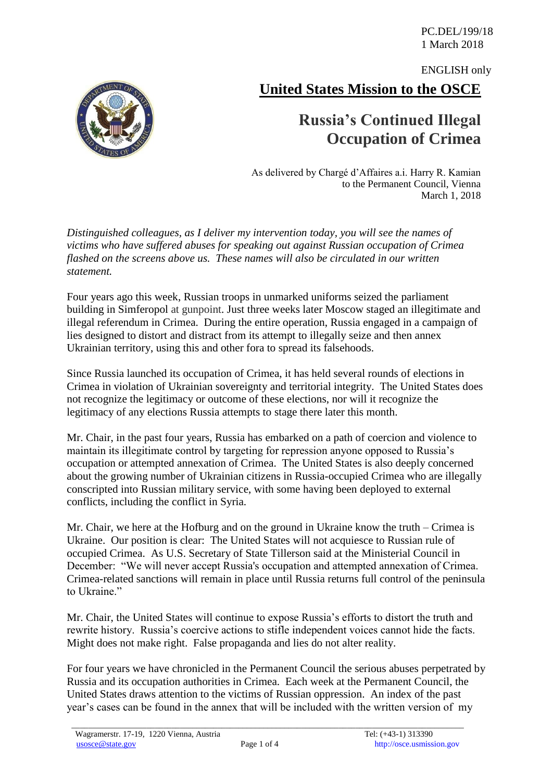**United States Mission to the OSCE** ENGLISH only

## **Russia's Continued Illegal Occupation of Crimea**

As delivered by Chargé d'Affaires a.i. Harry R. Kamian to the Permanent Council, Vienna March 1, 2018

*Distinguished colleagues, as I deliver my intervention today, you will see the names of victims who have suffered abuses for speaking out against Russian occupation of Crimea flashed on the screens above us. These names will also be circulated in our written statement.*

Four years ago this week, Russian troops in unmarked uniforms seized the parliament building in Simferopol at gunpoint. Just three weeks later Moscow staged an illegitimate and illegal referendum in Crimea. During the entire operation, Russia engaged in a campaign of lies designed to distort and distract from its attempt to illegally seize and then annex Ukrainian territory, using this and other fora to spread its falsehoods.

Since Russia launched its occupation of Crimea, it has held several rounds of elections in Crimea in violation of Ukrainian sovereignty and territorial integrity. The United States does not recognize the legitimacy or outcome of these elections, nor will it recognize the legitimacy of any elections Russia attempts to stage there later this month.

Mr. Chair, in the past four years, Russia has embarked on a path of coercion and violence to maintain its illegitimate control by targeting for repression anyone opposed to Russia's occupation or attempted annexation of Crimea. The United States is also deeply concerned about the growing number of Ukrainian citizens in Russia-occupied Crimea who are illegally conscripted into Russian military service, with some having been deployed to external conflicts, including the conflict in Syria.

Mr. Chair, we here at the Hofburg and on the ground in Ukraine know the truth – Crimea is Ukraine. Our position is clear: The United States will not acquiesce to Russian rule of occupied Crimea. As U.S. Secretary of State Tillerson said at the Ministerial Council in December: "We will never accept Russia's occupation and attempted annexation of Crimea. Crimea-related sanctions will remain in place until Russia returns full control of the peninsula to Ukraine"

Mr. Chair, the United States will continue to expose Russia's efforts to distort the truth and rewrite history. Russia's coercive actions to stifle independent voices cannot hide the facts. Might does not make right. False propaganda and lies do not alter reality.

For four years we have chronicled in the Permanent Council the serious abuses perpetrated by Russia and its occupation authorities in Crimea. Each week at the Permanent Council, the United States draws attention to the victims of Russian oppression. An index of the past year's cases can be found in the annex that will be included with the written version of my

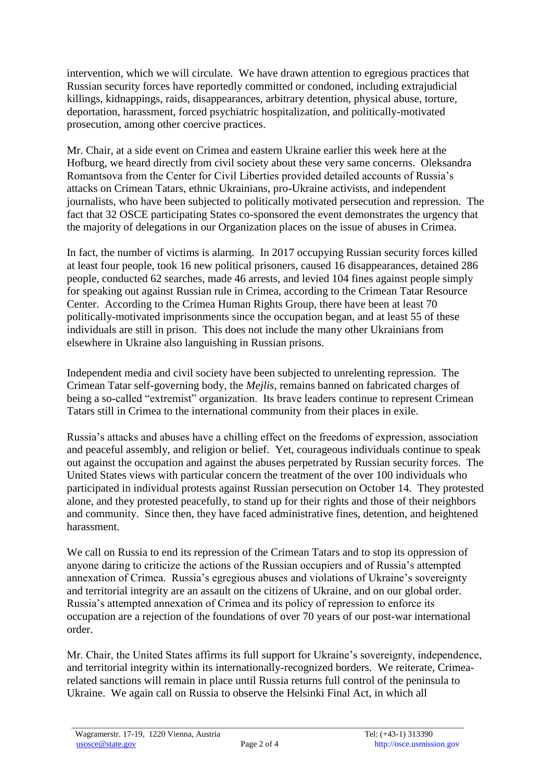intervention, which we will circulate. We have drawn attention to egregious practices that Russian security forces have reportedly committed or condoned, including extrajudicial killings, kidnappings, raids, disappearances, arbitrary detention, physical abuse, torture, deportation, harassment, forced psychiatric hospitalization, and politically-motivated prosecution, among other coercive practices.

Mr. Chair, at a side event on Crimea and eastern Ukraine earlier this week here at the Hofburg, we heard directly from civil society about these very same concerns. Oleksandra Romantsova from the Center for Civil Liberties provided detailed accounts of Russia's attacks on Crimean Tatars, ethnic Ukrainians, pro-Ukraine activists, and independent journalists, who have been subjected to politically motivated persecution and repression. The fact that 32 OSCE participating States co-sponsored the event demonstrates the urgency that the majority of delegations in our Organization places on the issue of abuses in Crimea.

In fact, the number of victims is alarming. In 2017 occupying Russian security forces killed at least four people, took 16 new political prisoners, caused 16 disappearances, detained 286 people, conducted 62 searches, made 46 arrests, and levied 104 fines against people simply for speaking out against Russian rule in Crimea, according to the Crimean Tatar Resource Center. According to the Crimea Human Rights Group, there have been at least 70 politically-motivated imprisonments since the occupation began, and at least 55 of these individuals are still in prison. This does not include the many other Ukrainians from elsewhere in Ukraine also languishing in Russian prisons.

Independent media and civil society have been subjected to unrelenting repression. The Crimean Tatar self-governing body, the *Mejlis*, remains banned on fabricated charges of being a so-called "extremist" organization. Its brave leaders continue to represent Crimean Tatars still in Crimea to the international community from their places in exile.

Russia's attacks and abuses have a chilling effect on the freedoms of expression, association and peaceful assembly, and religion or belief. Yet, courageous individuals continue to speak out against the occupation and against the abuses perpetrated by Russian security forces. The United States views with particular concern the treatment of the over 100 individuals who participated in individual protests against Russian persecution on October 14. They protested alone, and they protested peacefully, to stand up for their rights and those of their neighbors and community. Since then, they have faced administrative fines, detention, and heightened harassment.

We call on Russia to end its repression of the Crimean Tatars and to stop its oppression of anyone daring to criticize the actions of the Russian occupiers and of Russia's attempted annexation of Crimea. Russia's egregious abuses and violations of Ukraine's sovereignty and territorial integrity are an assault on the citizens of Ukraine, and on our global order. Russia's attempted annexation of Crimea and its policy of repression to enforce its occupation are a rejection of the foundations of over 70 years of our post-war international order.

Mr. Chair, the United States affirms its full support for Ukraine's sovereignty, independence, and territorial integrity within its internationally-recognized borders. We reiterate, Crimearelated sanctions will remain in place until Russia returns full control of the peninsula to Ukraine. We again call on Russia to observe the Helsinki Final Act, in which all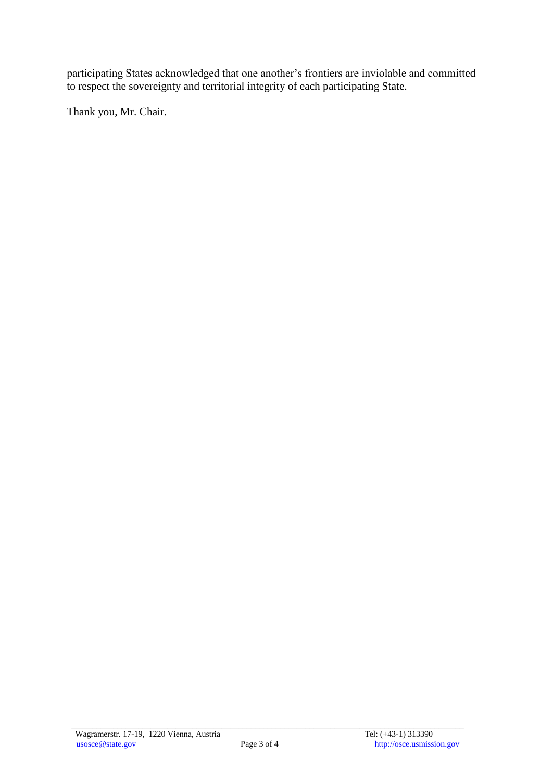participating States acknowledged that one another's frontiers are inviolable and committed to respect the sovereignty and territorial integrity of each participating State.

Thank you, Mr. Chair.

\_\_\_\_\_\_\_\_\_\_\_\_\_\_\_\_\_\_\_\_\_\_\_\_\_\_\_\_\_\_\_\_\_\_\_\_\_\_\_\_\_\_\_\_\_\_\_\_\_\_\_\_\_\_\_\_\_\_\_\_\_\_\_\_\_\_\_\_\_\_\_\_\_\_\_\_\_\_\_\_\_\_\_\_\_\_\_\_\_\_\_\_\_\_